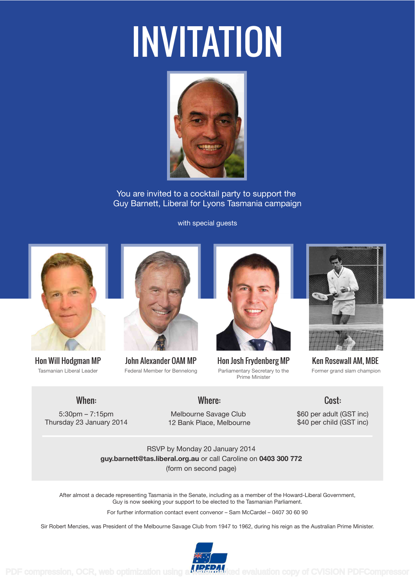# INVITATION



You are invited to a cocktail party to support the Guy Barnett, Liberal for Lyons Tasmania campaign

with special guests



Hon Will Hodgman MP Tasmanian Liberal Leader



John Alexander OAM MP Federal Member for Bennelong



Hon Josh Frydenberg MP Parliamentary Secretary to the Prime Minister



Ken Rosewall AM, MBE Former grand slam champion

## When:

5:30pm – 7:15pm Thursday 23 January 2014

### Where:

Melbourne Savage Club 12 Bank Place, Melbourne \$60 per adult (GST inc) \$40 per child (GST inc)

Cost:

RSVP by Monday 20 January 2014 **guy.barnett@tas.liberal.org.au** or call Caroline on **0403 300 772** (form on second page)

After almost a decade representing Tasmania in the Senate, including as a member of the Howard-Liberal Government, Guy is now seeking your support to be elected to the Tasmanian Parliament.

For further information contact event convenor – Sam McCardel – 0407 30 60 90

Sir Robert Menzies, was President of the Melbourne Savage Club from 1947 to 1962, during his reign as the Australian Prime Minister.



PDF compression, OCR, web optimization using a **WRIGHAN** is evaluation copy of CVISION PDFCompressor